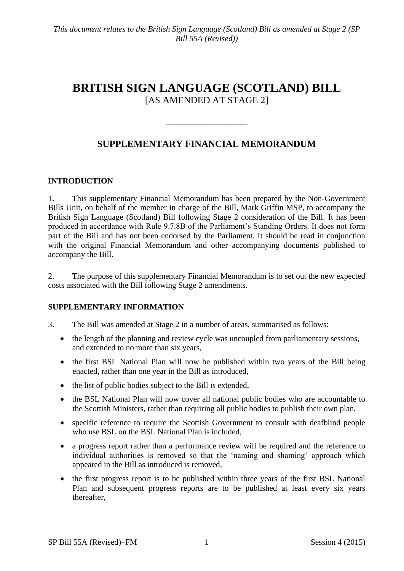# **BRITISH SIGN LANGUAGE (SCOTLAND) BILL** [AS AMENDED AT STAGE 2]

# **SUPPLEMENTARY FINANCIAL MEMORANDUM**

——————————

## **INTRODUCTION**

1. This supplementary Financial Memorandum has been prepared by the Non-Government Bills Unit, on behalf of the member in charge of the Bill, Mark Griffin MSP, to accompany the British Sign Language (Scotland) Bill following Stage 2 consideration of the Bill. It has been produced in accordance with Rule 9.7.8B of the Parliament's Standing Orders. It does not form part of the Bill and has not been endorsed by the Parliament. It should be read in conjunction with the original Financial Memorandum and other accompanying documents published to accompany the Bill.

2. The purpose of this supplementary Financial Memorandum is to set out the new expected costs associated with the Bill following Stage 2 amendments.

## **SUPPLEMENTARY INFORMATION**

- 3. The Bill was amended at Stage 2 in a number of areas, summarised as follows:
	- the length of the planning and review cycle was uncoupled from parliamentary sessions, and extended to no more than six years,
	- the first BSL National Plan will now be published within two years of the Bill being enacted, rather than one year in the Bill as introduced,
	- the list of public bodies subject to the Bill is extended,
	- the BSL National Plan will now cover all national public bodies who are accountable to the Scottish Ministers, rather than requiring all public bodies to publish their own plan,
	- specific reference to require the Scottish Government to consult with deafblind people who use BSL on the BSL National Plan is included,
	- a progress report rather than a performance review will be required and the reference to individual authorities is removed so that the 'naming and shaming' approach which appeared in the Bill as introduced is removed,
	- the first progress report is to be published within three years of the first BSL National Plan and subsequent progress reports are to be published at least every six years thereafter,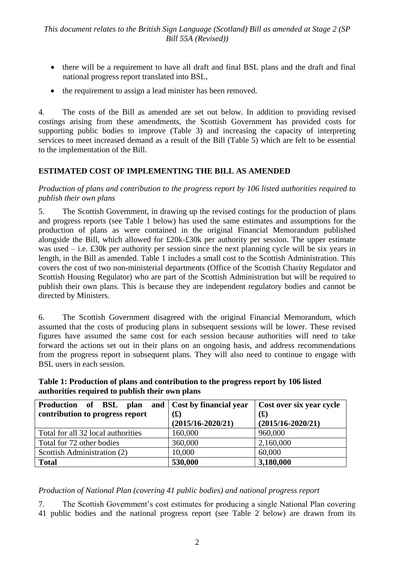- there will be a requirement to have all draft and final BSL plans and the draft and final national progress report translated into BSL,
- the requirement to assign a lead minister has been removed.

4. The costs of the Bill as amended are set out below. In addition to providing revised costings arising from these amendments, the Scottish Government has provided costs for supporting public bodies to improve (Table 3) and increasing the capacity of interpreting services to meet increased demand as a result of the Bill (Table 5) which are felt to be essential to the implementation of the Bill.

## **ESTIMATED COST OF IMPLEMENTING THE BILL AS AMENDED**

*Production of plans and contribution to the progress report by 106 listed authorities required to publish their own plans*

5. The Scottish Government, in drawing up the revised costings for the production of plans and progress reports (see Table 1 below) has used the same estimates and assumptions for the production of plans as were contained in the original Financial Memorandum published alongside the Bill, which allowed for £20k-£30k per authority per session. The upper estimate was used – i.e. £30k per authority per session since the next planning cycle will be six years in length, in the Bill as amended. Table 1 includes a small cost to the Scottish Administration. This covers the cost of two non-ministerial departments (Office of the Scottish Charity Regulator and Scottish Housing Regulator) who are part of the Scottish Administration but will be required to publish their own plans. This is because they are independent regulatory bodies and cannot be directed by Ministers.

6. The Scottish Government disagreed with the original Financial Memorandum, which assumed that the costs of producing plans in subsequent sessions will be lower. These revised figures have assumed the same cost for each session because authorities will need to take forward the actions set out in their plans on an ongoing basis, and address recommendations from the progress report in subsequent plans. They will also need to continue to engage with BSL users in each session.

| Table 1: Production of plans and contribution to the progress report by 106 listed |
|------------------------------------------------------------------------------------|
| authorities required to publish their own plans                                    |

| Production of BSL plan and Cost by financial year<br>contribution to progress report | $\mathbf{f}(\mathbf{f})$<br>$(2015/16 - 2020/21)$ | Cost over six year cycle<br>$\mathbf{(f)}$<br>$(2015/16 - 2020/21)$ |
|--------------------------------------------------------------------------------------|---------------------------------------------------|---------------------------------------------------------------------|
| Total for all 32 local authorities                                                   | 160,000                                           | 960,000                                                             |
| Total for 72 other bodies                                                            | 360,000                                           | 2,160,000                                                           |
| Scottish Administration (2)                                                          | 10,000                                            | 60,000                                                              |
| <b>Total</b>                                                                         | 530,000                                           | 3,180,000                                                           |

## *Production of National Plan (covering 41 public bodies) and national progress report*

7. The Scottish Government's cost estimates for producing a single National Plan covering 41 public bodies and the national progress report (see Table 2 below) are drawn from its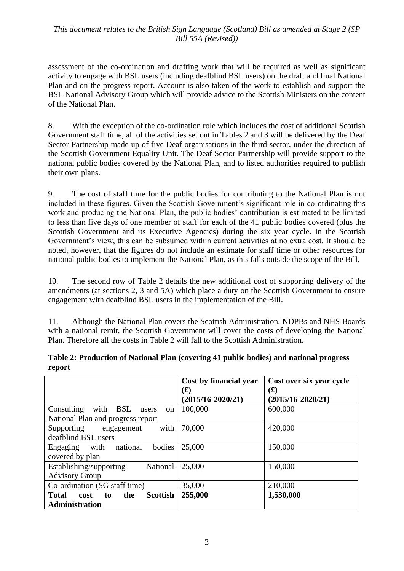## *This document relates to the British Sign Language (Scotland) Bill as amended at Stage 2 (SP Bill 55A (Revised))*

assessment of the co-ordination and drafting work that will be required as well as significant activity to engage with BSL users (including deafblind BSL users) on the draft and final National Plan and on the progress report. Account is also taken of the work to establish and support the BSL National Advisory Group which will provide advice to the Scottish Ministers on the content of the National Plan.

8. With the exception of the co-ordination role which includes the cost of additional Scottish Government staff time, all of the activities set out in Tables 2 and 3 will be delivered by the Deaf Sector Partnership made up of five Deaf organisations in the third sector, under the direction of the Scottish Government Equality Unit. The Deaf Sector Partnership will provide support to the national public bodies covered by the National Plan, and to listed authorities required to publish their own plans.

9. The cost of staff time for the public bodies for contributing to the National Plan is not included in these figures. Given the Scottish Government's significant role in co-ordinating this work and producing the National Plan, the public bodies' contribution is estimated to be limited to less than five days of one member of staff for each of the 41 public bodies covered (plus the Scottish Government and its Executive Agencies) during the six year cycle. In the Scottish Government's view, this can be subsumed within current activities at no extra cost. It should be noted, however, that the figures do not include an estimate for staff time or other resources for national public bodies to implement the National Plan, as this falls outside the scope of the Bill.

10. The second row of Table 2 details the new additional cost of supporting delivery of the amendments (at sections 2, 3 and 5A) which place a duty on the Scottish Government to ensure engagement with deafblind BSL users in the implementation of the Bill.

11. Although the National Plan covers the Scottish Administration, NDPBs and NHS Boards with a national remit, the Scottish Government will cover the costs of developing the National Plan. Therefore all the costs in Table 2 will fall to the Scottish Administration.

|                                                      | Cost by financial year | Cost over six year cycle |
|------------------------------------------------------|------------------------|--------------------------|
|                                                      | $\mathbf{(f)}$         | $\mathbf{(f)}$           |
|                                                      | $(2015/16 - 2020/21)$  | $(2015/16 - 2020/21)$    |
| with BSL<br>Consulting<br>users<br><sub>on</sub>     | 100,000                | 600,000                  |
| National Plan and progress report                    |                        |                          |
| with<br>Supporting<br>engagement                     | 70,000                 | 420,000                  |
| deafblind BSL users                                  |                        |                          |
| bodies<br>with<br>national<br>Engaging               | 25,000                 | 150,000                  |
| covered by plan                                      |                        |                          |
| Establishing/supporting<br>National                  | 25,000                 | 150,000                  |
| <b>Advisory Group</b>                                |                        |                          |
| Co-ordination (SG staff time)                        | 35,000                 | 210,000                  |
| <b>Total</b><br><b>Scottish</b><br>the<br>cost<br>to | 255,000                | 1,530,000                |
| <b>Administration</b>                                |                        |                          |

#### **Table 2: Production of National Plan (covering 41 public bodies) and national progress report**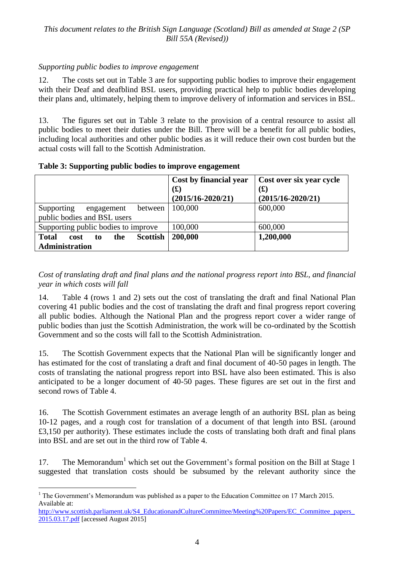## *Supporting public bodies to improve engagement*

12. The costs set out in Table 3 are for supporting public bodies to improve their engagement with their Deaf and deafblind BSL users, providing practical help to public bodies developing their plans and, ultimately, helping them to improve delivery of information and services in BSL.

13. The figures set out in Table 3 relate to the provision of a central resource to assist all public bodies to meet their duties under the Bill. There will be a benefit for all public bodies, including local authorities and other public bodies as it will reduce their own cost burden but the actual costs will fall to the Scottish Administration.

|  |  | Table 3: Supporting public bodies to improve engagement |
|--|--|---------------------------------------------------------|
|  |  |                                                         |

|                                                                        | Cost by financial year<br>(L)<br>$(2015/16 - 2020/21)$ | Cost over six year cycle<br>$\mathbf{(f)}$<br>$(2015/16 - 2020/21)$ |
|------------------------------------------------------------------------|--------------------------------------------------------|---------------------------------------------------------------------|
| Supporting<br>between<br>engagement<br>public bodies and BSL users     | 100,000                                                | 600,000                                                             |
| Supporting public bodies to improve                                    | 100,000                                                | 600,000                                                             |
| <b>Scottish</b><br><b>Total</b><br>the<br>cost<br>to<br>Administration | 200,000                                                | 1,200,000                                                           |

*Cost of translating draft and final plans and the national progress report into BSL, and financial year in which costs will fall*

14. Table 4 (rows 1 and 2) sets out the cost of translating the draft and final National Plan covering 41 public bodies and the cost of translating the draft and final progress report covering all public bodies. Although the National Plan and the progress report cover a wider range of public bodies than just the Scottish Administration, the work will be co-ordinated by the Scottish Government and so the costs will fall to the Scottish Administration.

15. The Scottish Government expects that the National Plan will be significantly longer and has estimated for the cost of translating a draft and final document of 40-50 pages in length. The costs of translating the national progress report into BSL have also been estimated. This is also anticipated to be a longer document of 40-50 pages. These figures are set out in the first and second rows of Table 4.

16. The Scottish Government estimates an average length of an authority BSL plan as being 10-12 pages, and a rough cost for translation of a document of that length into BSL (around £3,150 per authority). These estimates include the costs of translating both draft and final plans into BSL and are set out in the third row of Table 4.

17. The Memorandum<sup>1</sup> which set out the Government's formal position on the Bill at Stage 1 suggested that translation costs should be subsumed by the relevant authority since the

 $\overline{a}$  $<sup>1</sup>$  The Government's Memorandum was published as a paper to the Education Committee on 17 March 2015.</sup> Available at:

http://www.scottish.parliament.uk/S4\_EducationandCultureCommittee/Meeting%20Papers/EC\_Committee\_papers [2015.03.17.pdf](http://www.scottish.parliament.uk/S4_EducationandCultureCommittee/Meeting%20Papers/EC_Committee_papers_2015.03.17.pdf) [accessed August 2015]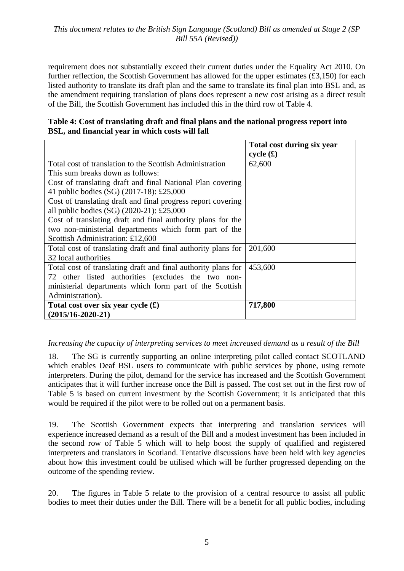requirement does not substantially exceed their current duties under the Equality Act 2010. On further reflection, the Scottish Government has allowed for the upper estimates  $(£3,150)$  for each listed authority to translate its draft plan and the same to translate its final plan into BSL and, as the amendment requiring translation of plans does represent a new cost arising as a direct result of the Bill, the Scottish Government has included this in the third row of Table 4.

#### **Table 4: Cost of translating draft and final plans and the national progress report into BSL, and financial year in which costs will fall**

|                                                               | Total cost during six year |
|---------------------------------------------------------------|----------------------------|
|                                                               | cycle(f)                   |
| Total cost of translation to the Scottish Administration      | 62,600                     |
| This sum breaks down as follows:                              |                            |
| Cost of translating draft and final National Plan covering    |                            |
| 41 public bodies (SG) (2017-18): £25,000                      |                            |
| Cost of translating draft and final progress report covering  |                            |
| all public bodies (SG) $(2020-21)$ : £25,000                  |                            |
| Cost of translating draft and final authority plans for the   |                            |
| two non-ministerial departments which form part of the        |                            |
| Scottish Administration: £12,600                              |                            |
| Total cost of translating draft and final authority plans for | 201,600                    |
| 32 local authorities                                          |                            |
| Total cost of translating draft and final authority plans for | 453,600                    |
| 72 other listed authorities (excludes the two non-            |                            |
| ministerial departments which form part of the Scottish       |                            |
| Administration).                                              |                            |
| Total cost over six year cycle $(\pounds)$                    | 717,800                    |
| $(2015/16 - 2020 - 21)$                                       |                            |

## *Increasing the capacity of interpreting services to meet increased demand as a result of the Bill*

18. The SG is currently supporting an online interpreting pilot called contact SCOTLAND which enables Deaf BSL users to communicate with public services by phone, using remote interpreters. During the pilot, demand for the service has increased and the Scottish Government anticipates that it will further increase once the Bill is passed. The cost set out in the first row of Table 5 is based on current investment by the Scottish Government; it is anticipated that this would be required if the pilot were to be rolled out on a permanent basis.

19. The Scottish Government expects that interpreting and translation services will experience increased demand as a result of the Bill and a modest investment has been included in the second row of Table 5 which will to help boost the supply of qualified and registered interpreters and translators in Scotland. Tentative discussions have been held with key agencies about how this investment could be utilised which will be further progressed depending on the outcome of the spending review.

20. The figures in Table 5 relate to the provision of a central resource to assist all public bodies to meet their duties under the Bill. There will be a benefit for all public bodies, including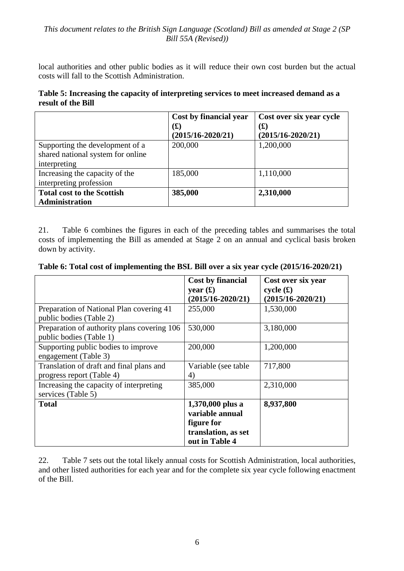local authorities and other public bodies as it will reduce their own cost burden but the actual costs will fall to the Scottish Administration.

| Table 5: Increasing the capacity of interpreting services to meet increased demand as a |
|-----------------------------------------------------------------------------------------|
| result of the Bill                                                                      |

|                                                   | Cost by financial year<br>$\mathbf{f}(\mathbf{f})$<br>$(2015/16 - 2020/21)$ | Cost over six year cycle<br>$\bf{(f)}$<br>$(2015/16 - 2020/21)$ |
|---------------------------------------------------|-----------------------------------------------------------------------------|-----------------------------------------------------------------|
| Supporting the development of a                   | 200,000                                                                     | 1,200,000                                                       |
| shared national system for online<br>interpreting |                                                                             |                                                                 |
| Increasing the capacity of the                    | 185,000                                                                     | 1,110,000                                                       |
| interpreting profession                           |                                                                             |                                                                 |
| <b>Total cost to the Scottish</b>                 | 385,000                                                                     | 2,310,000                                                       |
| <b>Administration</b>                             |                                                                             |                                                                 |

21. Table 6 combines the figures in each of the preceding tables and summarises the total costs of implementing the Bill as amended at Stage 2 on an annual and cyclical basis broken down by activity.

|  | Table 6: Total cost of implementing the BSL Bill over a six year cycle (2015/16-2020/21) |  |  |
|--|------------------------------------------------------------------------------------------|--|--|
|--|------------------------------------------------------------------------------------------|--|--|

|                                                                        | Cost by financial                                                                          | Cost over six year                |
|------------------------------------------------------------------------|--------------------------------------------------------------------------------------------|-----------------------------------|
|                                                                        | year $(f)$<br>$(2015/16 - 2020/21)$                                                        | cycle(f)<br>$(2015/16 - 2020/21)$ |
| Preparation of National Plan covering 41<br>public bodies (Table 2)    | 255,000                                                                                    | 1,530,000                         |
| Preparation of authority plans covering 106<br>public bodies (Table 1) | 530,000                                                                                    | 3,180,000                         |
| Supporting public bodies to improve<br>engagement (Table 3)            | 200,000                                                                                    | 1,200,000                         |
| Translation of draft and final plans and<br>progress report (Table 4)  | Variable (see table<br>4)                                                                  | 717,800                           |
| Increasing the capacity of interpreting<br>services (Table 5)          | 385,000                                                                                    | 2,310,000                         |
| <b>Total</b>                                                           | 1,370,000 plus a<br>variable annual<br>figure for<br>translation, as set<br>out in Table 4 | 8,937,800                         |

22. Table 7 sets out the total likely annual costs for Scottish Administration, local authorities, and other listed authorities for each year and for the complete six year cycle following enactment of the Bill.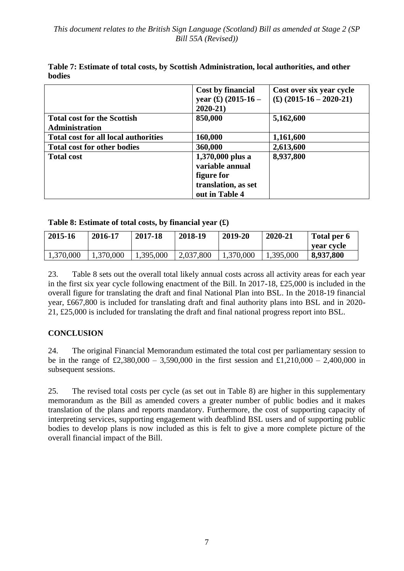|                                                             | Cost by financial<br>year $(\pounds)$ (2015-16 –<br>$2020 - 21$                            | Cost over six year cycle<br>$(\text{\textsterling})$ (2015-16 - 2020-21) |
|-------------------------------------------------------------|--------------------------------------------------------------------------------------------|--------------------------------------------------------------------------|
| <b>Total cost for the Scottish</b><br><b>Administration</b> | 850,000                                                                                    | 5,162,600                                                                |
| Total cost for all local authorities                        | 160,000                                                                                    | 1,161,600                                                                |
| <b>Total cost for other bodies</b>                          | 360,000                                                                                    | 2,613,600                                                                |
| <b>Total cost</b>                                           | 1,370,000 plus a<br>variable annual<br>figure for<br>translation, as set<br>out in Table 4 | 8,937,800                                                                |

**Table 7: Estimate of total costs, by Scottish Administration, local authorities, and other bodies**

## **Table 8: Estimate of total costs, by financial year (£)**

| 2015-16   | 2016-17   | 2017-18   | 2018-19   | 2019-20   | 2020-21   | Total per 6<br>vear cvcle |
|-----------|-----------|-----------|-----------|-----------|-----------|---------------------------|
| 1,370,000 | 1,370,000 | 1,395,000 | 2,037,800 | 1,370,000 | 1,395,000 | 8,937,800                 |

23. Table 8 sets out the overall total likely annual costs across all activity areas for each year in the first six year cycle following enactment of the Bill. In 2017-18, £25,000 is included in the overall figure for translating the draft and final National Plan into BSL. In the 2018-19 financial year, £667,800 is included for translating draft and final authority plans into BSL and in 2020- 21, £25,000 is included for translating the draft and final national progress report into BSL.

## **CONCLUSION**

24. The original Financial Memorandum estimated the total cost per parliamentary session to be in the range of £2,380,000 – 3,590,000 in the first session and £1,210,000 – 2,400,000 in subsequent sessions.

25. The revised total costs per cycle (as set out in Table 8) are higher in this supplementary memorandum as the Bill as amended covers a greater number of public bodies and it makes translation of the plans and reports mandatory. Furthermore, the cost of supporting capacity of interpreting services, supporting engagement with deafblind BSL users and of supporting public bodies to develop plans is now included as this is felt to give a more complete picture of the overall financial impact of the Bill.